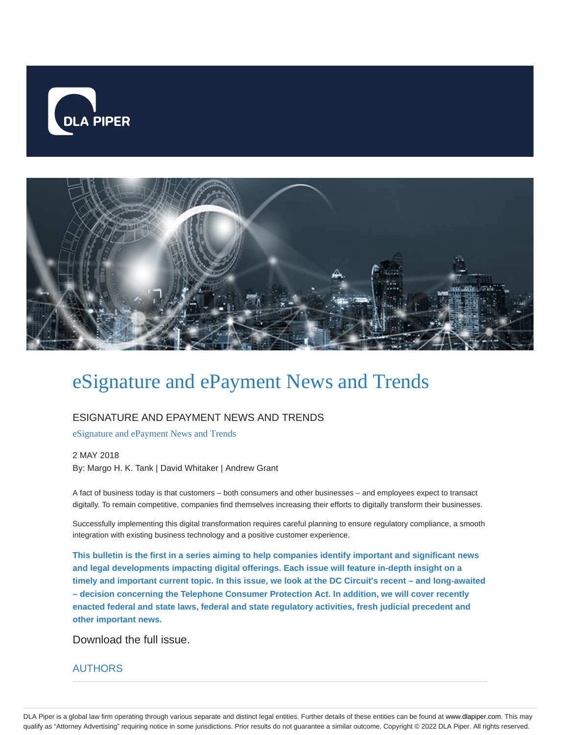



# eSignature and ePayment News and Trends

### ESIGNATURE AND EPAYMENT NEWS AND TRENDS

eSignature and ePayment News and Trends

2 MAY 2018 By: Margo H. K. Tank | David Whitaker | Andrew Grant

A fact of business today is that customers – both consumers and other businesses – and employees expect to transact digitally. To remain competitive, companies find themselves increasing their efforts to digitally transform their businesses.

Successfully implementing this digital transformation requires careful planning to ensure regulatory compliance, a smooth integration with existing business technology and a positive customer experience.

**This bulletin is the first in a series aiming to help companies identify important and significant news and legal developments impacting digital offerings. Each issue will feature in-depth insight on a timely and important current topic. In this issue, we look at the DC Circuit's recent – and long-awaited – decision concerning the Telephone Consumer Protection Act. In addition, we will cover recently enacted federal and state laws, federal and state regulatory activities, fresh judicial precedent and other important news.**

Download the full issue.

#### AUTHORS

DLA Piper is a global law firm operating through various separate and distinct legal entities. Further details of these entities can be found at www.dlapiper.com. This may qualify as "Attorney Advertising" requiring notice in some jurisdictions. Prior results do not guarantee a similar outcome. Copyright © 2022 DLA Piper. All rights reserved.